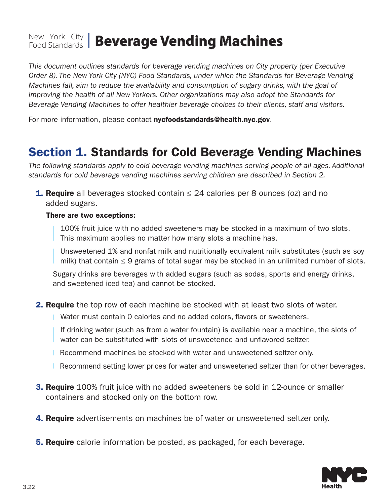# New York City Food Standards **Beverage Vending Machines**

*This document outlines standards for beverage vending machines on City property (per Executive Order 8). The New York City (NYC) Food Standards, under which the Standards for Beverage Vending Machines fall, aim to reduce the availability and consumption of sugary drinks, with the goal of improving the health of all New Yorkers. Other organizations may also adopt the Standards for Beverage Vending Machines to offer healthier beverage choices to their clients, staff and visitors.* 

For more information, please contact nycfoodstandards@health.nyc.gov.

### Section 1. Standards for Cold Beverage Vending Machines

*The following standards apply to cold beverage vending machines serving people of all ages. Additional standards for cold beverage vending machines serving children are described in Section 2.* 

**1. Require** all beverages stocked contain  $\leq$  24 calories per 8 ounces (oz) and no added sugars.

#### There are two exceptions:

100% fruit juice with no added sweeteners may be stocked in a maximum of two slots. This maximum applies no matter how many slots a machine has.

Unsweetened 1% and nonfat milk and nutritionally equivalent milk substitutes (such as soy milk) that contain ≤ 9 grams of total sugar may be stocked in an unlimited number of slots.

Sugary drinks are beverages with added sugars (such as sodas, sports and energy drinks, and sweetened iced tea) and cannot be stocked.

- **2. Require** the top row of each machine be stocked with at least two slots of water.
	- Water must contain 0 calories and no added colors, flavors or sweeteners.

If drinking water (such as from a water fountain) is available near a machine, the slots of water can be substituted with slots of unsweetened and unflavored seltzer.

- **Recommend machines be stocked with water and unsweetened seltzer only.**
- **Recommend setting lower prices for water and unsweetened seltzer than for other beverages.**
- **3. Require** 100% fruit juice with no added sweeteners be sold in 12-ounce or smaller containers and stocked only on the bottom row.
- **4. Require** advertisements on machines be of water or unsweetened seltzer only.
- **5. Require** calorie information be posted, as packaged, for each beverage.